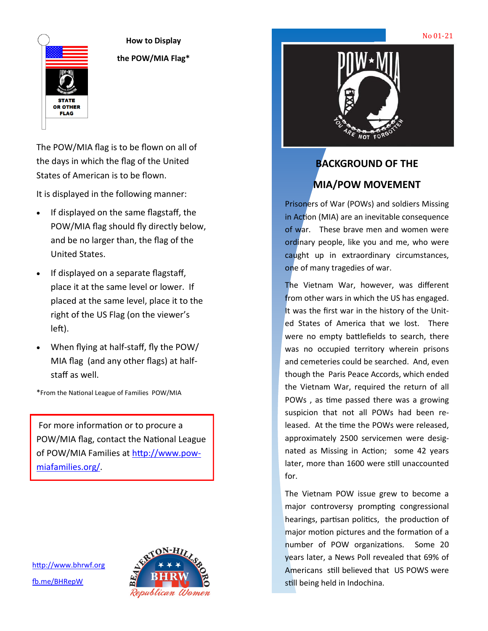

**How to Display the POW/MIA Flag\***

The POW/MIA flag is to be flown on all of the days in which the flag of the United States of American is to be flown.

It is displayed in the following manner:

- If displayed on the same flagstaff, the POW/MIA flag should fly directly below, and be no larger than, the flag of the United States.
- If displayed on a separate flagstaff, place it at the same level or lower. If placed at the same level, place it to the right of the US Flag (on the viewer's left).
- When flying at half-staff, fly the POW/ MIA flag (and any other flags) at halfstaff as well.
- \*From the National League of Families POW/MIA

For more information or to procure a POW/MIA flag, contact the National League of POW/MIA Families at [http://www.pow](http://www.pow-miafamilies.org/)[miafamilies.org/.](http://www.pow-miafamilies.org/) 

<http://www.bhrwf.org> [fb.me/BHRepW](http://fb.me/BHRepW)





## **BACKGROUND OF THE MIA/POW MOVEMENT**

Prisoners of War (POWs) and soldiers Missing in Action (MIA) are an inevitable consequence of war. These brave men and women were ordinary people, like you and me, who were caught up in extraordinary circumstances, one of many tragedies of war.

The Vietnam War, however, was different from other wars in which the US has engaged. It was the first war in the history of the United States of America that we lost. There were no empty battlefields to search, there was no occupied territory wherein prisons and cemeteries could be searched. And, even though the Paris Peace Accords, which ended the Vietnam War, required the return of all POWs , as time passed there was a growing suspicion that not all POWs had been released. At the time the POWs were released, approximately 2500 servicemen were designated as Missing in Action; some 42 years later, more than 1600 were still unaccounted for.

The Vietnam POW issue grew to become a major controversy prompting congressional hearings, partisan politics, the production of major motion pictures and the formation of a number of POW organizations. Some 20 years later, a News Poll revealed that 69% of Americans still believed that US POWS were still being held in Indochina.